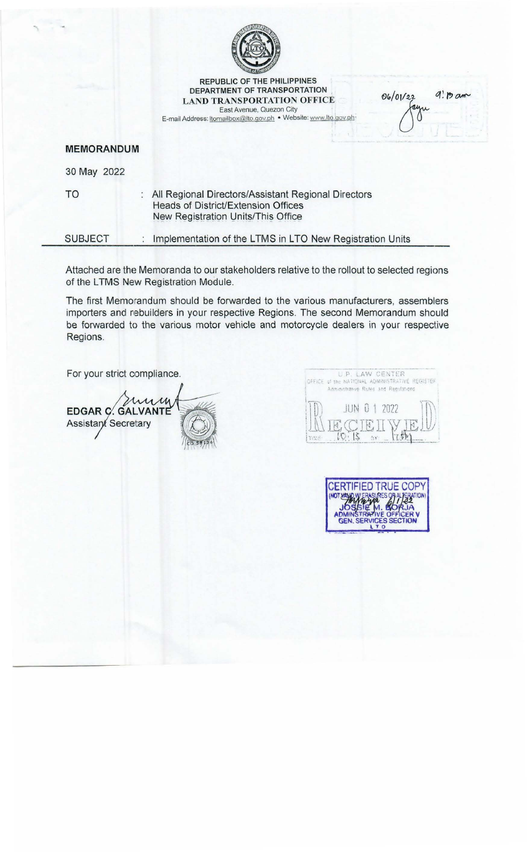

**REPUBLIC OF THE PHILIPPINES** DEPARTMENT OF TRANSPORTATION **LAND TRANSPORTATION OFFICE** East Avenue, Quezon City

E-mail Address: tomailbox@lto.gov.ph . Website: www.lto.gov.ph

06/01/22  $q$ :  $p$  am ru

**MEMORANDUM** 

30 May 2022

**TO** : All Regional Directors/Assistant Regional Directors Heads of District/Extension Offices New Registration Units/This Office

**SUBJECT** Implementation of the LTMS in LTO New Registration Units  $\ddot{\cdot}$ 

Attached are the Memoranda to our stakeholders relative to the rollout to selected regions of the LTMS New Registration Module.

The first Memorandum should be forwarded to the various manufacturers, assemblers importers and rebuilders in your respective Regions. The second Memorandum should be forwarded to the various motor vehicle and motorcycle dealers in your respective Regions.

For your strict compliance.

mum EDGAR C. GALVANTE **Assistant Secretary** 



TRUE COPY CERTIE n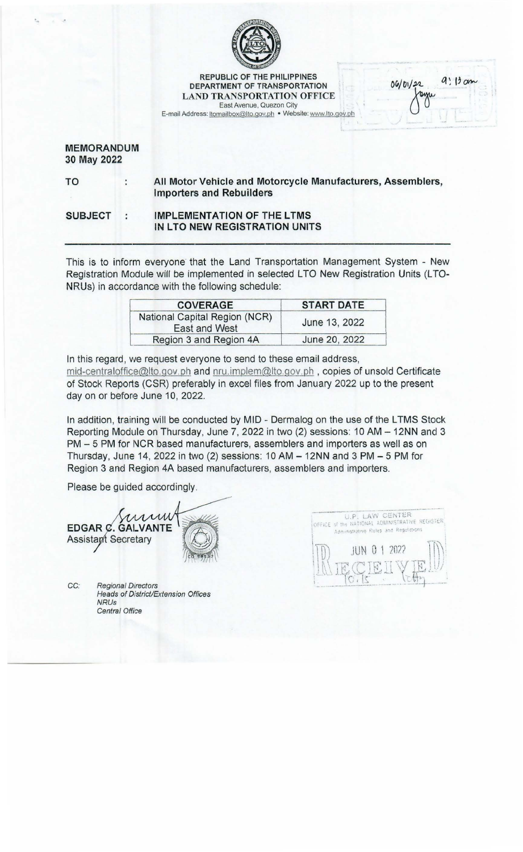

REPUBLIC OF THE PHILIPPINES DEPARTMENT OF TRANSPORTATION LAND TRANSPORTATION OFFICE East Avenue, Quezon City

E-mail Address: ltomailbox@lto.gov.ph • Website: www.lto.gov.ph

## MEMORANDUM 30 May 2022

 $\ddot{\cdot}$ 

TO

All Motor Vehicle and Motorcycle Manufacturers, Assemblers, Importers and Rebuilders

SUBJECT IMPLEMENTATION OF THE LTMS ÷ IN LTO NEW REGISTRATION UNITS

This is to inform everyone that the Land Transportation Management System - New Registration Module will be implemented in selected LTO New Registration Units (LTO-NRUs) in accordance with the following schedule:

| <b>COVERAGE</b>                                | <b>START DATE</b> |  |
|------------------------------------------------|-------------------|--|
| National Capital Region (NCR)<br>East and West | June 13, 2022     |  |
| Region 3 and Region 4A                         | June 20, 2022     |  |

In this regard, we request everyone to send to these email address, mid-centraloffice@lto.gov.ph and nru.implem@lto.gov.ph, copies of unsold Certificate of Stock Reports (CSR) preferably in excel files from January 2022 up to the present day on or before June 10, 2022.

In addition, training will be conducted by MID - Dermalog on the use of the LTMS Stock Reporting Module on Thursday, June 7, 2022 in two (2) sessions: 10 AM - 12NN and 3 PM - 5 PM for NCR based manufacturers, assemblers and importers as well as on Thursday, June 14, 2022 in two (2) sessions:  $10 AM - 12NN$  and  $3 PM - 5 PM$  for Region 3 and Region 4A based manufacturers, assemblers and importers.

Please be guided accordingly.

min EDGAR C. GALVANTE **Assistant Secretary** 

CC: Regional Directors Heads of District/Extension Offices NRUs Central Office



 $9:13cm$ 

06/01/22